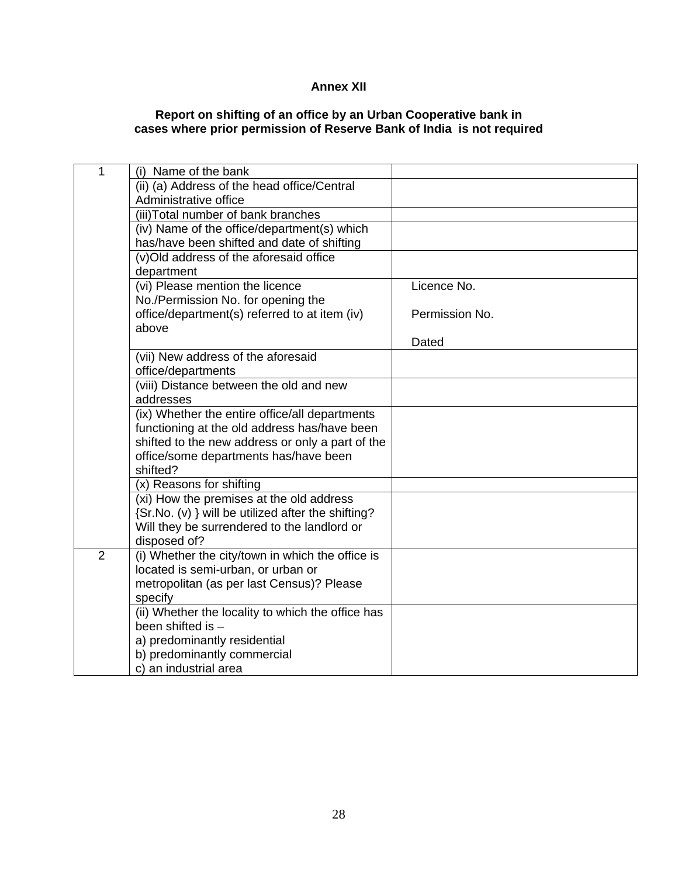## **Annex XII**

## **Report on shifting of an office by an Urban Cooperative bank in cases where prior permission of Reserve Bank of India is not required**

| $\overline{1}$ | (i) Name of the bank                               |                |
|----------------|----------------------------------------------------|----------------|
|                | (ii) (a) Address of the head office/Central        |                |
|                | Administrative office                              |                |
|                | (iii) Total number of bank branches                |                |
|                | (iv) Name of the office/department(s) which        |                |
|                | has/have been shifted and date of shifting         |                |
|                | (v)Old address of the aforesaid office             |                |
|                | department                                         |                |
|                | (vi) Please mention the licence                    | Licence No.    |
|                | No./Permission No. for opening the                 |                |
|                | office/department(s) referred to at item (iv)      | Permission No. |
|                | above                                              |                |
|                |                                                    | Dated          |
|                | (vii) New address of the aforesaid                 |                |
|                | office/departments                                 |                |
|                | (viii) Distance between the old and new            |                |
|                | addresses                                          |                |
|                | (ix) Whether the entire office/all departments     |                |
|                | functioning at the old address has/have been       |                |
|                | shifted to the new address or only a part of the   |                |
|                | office/some departments has/have been              |                |
|                | shifted?                                           |                |
|                | (x) Reasons for shifting                           |                |
|                | (xi) How the premises at the old address           |                |
|                | {Sr.No. (v) } will be utilized after the shifting? |                |
|                | Will they be surrendered to the landlord or        |                |
|                | disposed of?                                       |                |
| $\overline{2}$ | (i) Whether the city/town in which the office is   |                |
|                | located is semi-urban, or urban or                 |                |
|                | metropolitan (as per last Census)? Please          |                |
|                | specify                                            |                |
|                | (ii) Whether the locality to which the office has  |                |
|                | been shifted is -                                  |                |
|                | a) predominantly residential                       |                |
|                | b) predominantly commercial                        |                |
|                | c) an industrial area                              |                |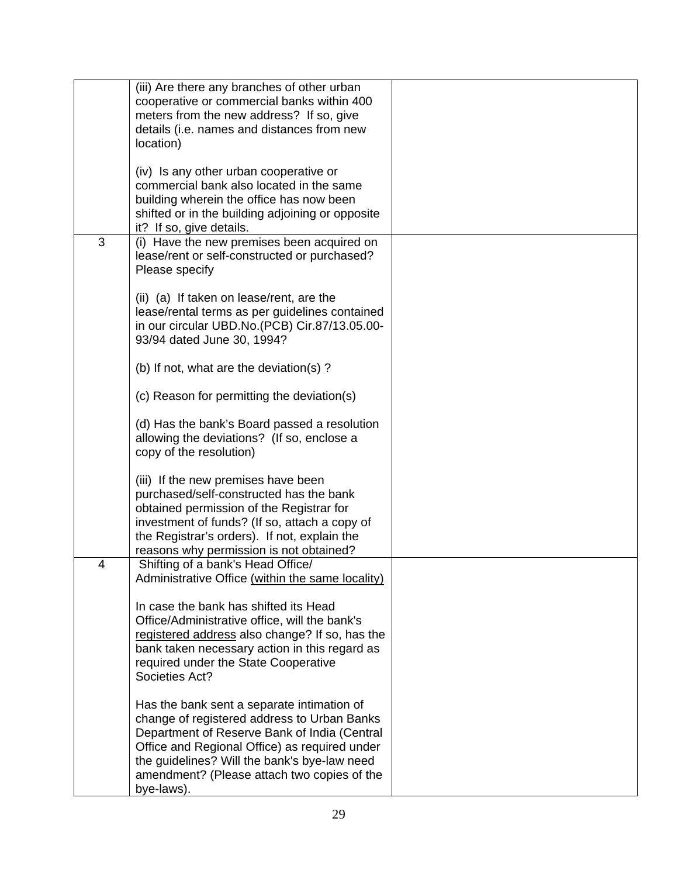|   | (iii) Are there any branches of other urban<br>cooperative or commercial banks within 400<br>meters from the new address? If so, give<br>details (i.e. names and distances from new<br>location)                                                                                                        |  |
|---|---------------------------------------------------------------------------------------------------------------------------------------------------------------------------------------------------------------------------------------------------------------------------------------------------------|--|
|   | (iv) Is any other urban cooperative or<br>commercial bank also located in the same<br>building wherein the office has now been<br>shifted or in the building adjoining or opposite<br>it? If so, give details.                                                                                          |  |
| 3 | (i) Have the new premises been acquired on<br>lease/rent or self-constructed or purchased?<br>Please specify                                                                                                                                                                                            |  |
|   | (ii) (a) If taken on lease/rent, are the<br>lease/rental terms as per guidelines contained<br>in our circular UBD.No.(PCB) Cir.87/13.05.00-<br>93/94 dated June 30, 1994?                                                                                                                               |  |
|   | (b) If not, what are the deviation(s)?                                                                                                                                                                                                                                                                  |  |
|   | (c) Reason for permitting the deviation(s)                                                                                                                                                                                                                                                              |  |
|   | (d) Has the bank's Board passed a resolution<br>allowing the deviations? (If so, enclose a<br>copy of the resolution)                                                                                                                                                                                   |  |
|   | (iii) If the new premises have been<br>purchased/self-constructed has the bank<br>obtained permission of the Registrar for<br>investment of funds? (If so, attach a copy of<br>the Registrar's orders). If not, explain the<br>reasons why permission is not obtained?                                  |  |
| 4 | Shifting of a bank's Head Office/<br>Administrative Office (within the same locality)                                                                                                                                                                                                                   |  |
|   | In case the bank has shifted its Head<br>Office/Administrative office, will the bank's<br>registered address also change? If so, has the<br>bank taken necessary action in this regard as<br>required under the State Cooperative<br>Societies Act?                                                     |  |
|   | Has the bank sent a separate intimation of<br>change of registered address to Urban Banks<br>Department of Reserve Bank of India (Central<br>Office and Regional Office) as required under<br>the guidelines? Will the bank's bye-law need<br>amendment? (Please attach two copies of the<br>bye-laws). |  |